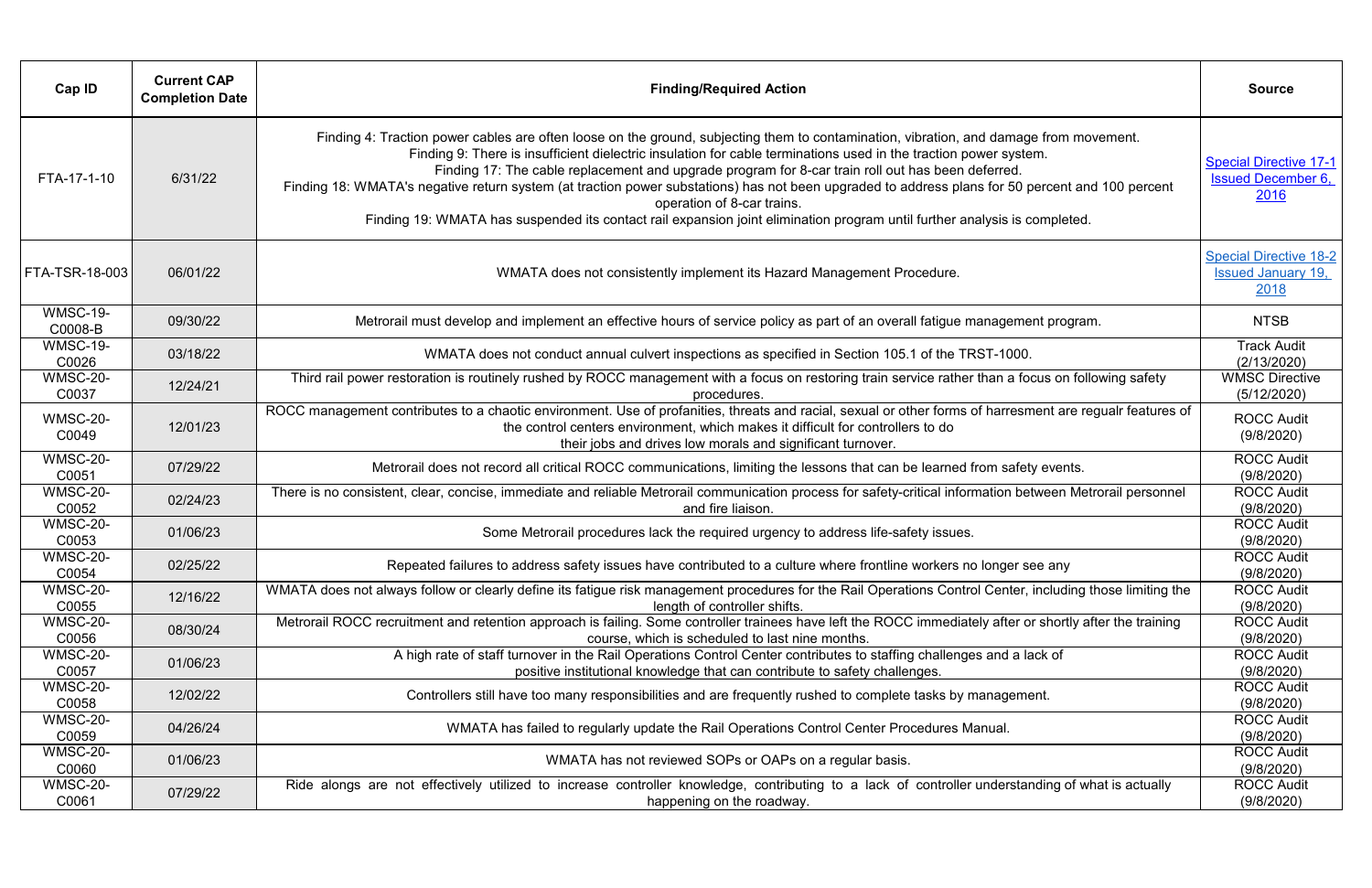| Cap ID                     | <b>Current CAP</b><br><b>Completion Date</b> | <b>Finding/Required Action</b>                                                                                                                                                                                                                                                                                                                                                                                                                                                                                                                                                                                                                                                 | <b>Source</b>                                                      |
|----------------------------|----------------------------------------------|--------------------------------------------------------------------------------------------------------------------------------------------------------------------------------------------------------------------------------------------------------------------------------------------------------------------------------------------------------------------------------------------------------------------------------------------------------------------------------------------------------------------------------------------------------------------------------------------------------------------------------------------------------------------------------|--------------------------------------------------------------------|
| FTA-17-1-10                | 6/31/22                                      | Finding 4: Traction power cables are often loose on the ground, subjecting them to contamination, vibration, and damage from movement.<br>Finding 9: There is insufficient dielectric insulation for cable terminations used in the traction power system.<br>Finding 17: The cable replacement and upgrade program for 8-car train roll out has been deferred.<br>Finding 18: WMATA's negative return system (at traction power substations) has not been upgraded to address plans for 50 percent and 100 percent<br>operation of 8-car trains.<br>Finding 19: WMATA has suspended its contact rail expansion joint elimination program until further analysis is completed. | <b>Special Directive 17-1</b><br><b>Issued December 6,</b><br>2016 |
| FTA-TSR-18-003             | 06/01/22                                     | WMATA does not consistently implement its Hazard Management Procedure.                                                                                                                                                                                                                                                                                                                                                                                                                                                                                                                                                                                                         | <b>Special Directive 18-2</b><br><b>Issued January 19,</b><br>2018 |
| <b>WMSC-19-</b><br>C0008-B | 09/30/22                                     | Metrorail must develop and implement an effective hours of service policy as part of an overall fatigue management program.                                                                                                                                                                                                                                                                                                                                                                                                                                                                                                                                                    | <b>NTSB</b>                                                        |
| <b>WMSC-19-</b><br>C0026   | 03/18/22                                     | WMATA does not conduct annual culvert inspections as specified in Section 105.1 of the TRST-1000.                                                                                                                                                                                                                                                                                                                                                                                                                                                                                                                                                                              | <b>Track Audit</b><br>(2/13/2020)                                  |
| <b>WMSC-20-</b><br>C0037   | 12/24/21                                     | Third rail power restoration is routinely rushed by ROCC management with a focus on restoring train service rather than a focus on following safety<br>procedures.                                                                                                                                                                                                                                                                                                                                                                                                                                                                                                             | <b>WMSC Directive</b><br>(5/12/2020)                               |
| <b>WMSC-20-</b><br>C0049   | 12/01/23                                     | ROCC management contributes to a chaotic environment. Use of profanities, threats and racial, sexual or other forms of harresment are regualr features of<br>the control centers environment, which makes it difficult for controllers to do<br>their jobs and drives low morals and significant turnover.                                                                                                                                                                                                                                                                                                                                                                     | <b>ROCC Audit</b><br>(9/8/2020)                                    |
| <b>WMSC-20-</b><br>C0051   | 07/29/22                                     | Metrorail does not record all critical ROCC communications, limiting the lessons that can be learned from safety events.                                                                                                                                                                                                                                                                                                                                                                                                                                                                                                                                                       | <b>ROCC Audit</b><br>(9/8/2020)                                    |
| <b>WMSC-20-</b><br>C0052   | 02/24/23                                     | There is no consistent, clear, concise, immediate and reliable Metrorail communication process for safety-critical information between Metrorail personnel<br>and fire liaison.                                                                                                                                                                                                                                                                                                                                                                                                                                                                                                | <b>ROCC Audit</b><br>(9/8/2020)                                    |
| <b>WMSC-20-</b><br>C0053   | 01/06/23                                     | Some Metrorail procedures lack the required urgency to address life-safety issues.                                                                                                                                                                                                                                                                                                                                                                                                                                                                                                                                                                                             | <b>ROCC Audit</b><br>(9/8/2020)                                    |
| <b>WMSC-20-</b><br>C0054   | 02/25/22                                     | Repeated failures to address safety issues have contributed to a culture where frontline workers no longer see any                                                                                                                                                                                                                                                                                                                                                                                                                                                                                                                                                             | <b>ROCC Audit</b><br>(9/8/2020)                                    |
| <b>WMSC-20-</b><br>C0055   | 12/16/22                                     | WMATA does not always follow or clearly define its fatigue risk management procedures for the Rail Operations Control Center, including those limiting the<br>length of controller shifts.                                                                                                                                                                                                                                                                                                                                                                                                                                                                                     | <b>ROCC Audit</b><br>(9/8/2020)                                    |
| <b>WMSC-20-</b><br>C0056   | 08/30/24                                     | Metrorail ROCC recruitment and retention approach is failing. Some controller trainees have left the ROCC immediately after or shortly after the training<br>course, which is scheduled to last nine months.                                                                                                                                                                                                                                                                                                                                                                                                                                                                   | <b>ROCC Audit</b><br>(9/8/2020)                                    |
| <b>WMSC-20-</b><br>C0057   | 01/06/23                                     | A high rate of staff turnover in the Rail Operations Control Center contributes to staffing challenges and a lack of<br>positive institutional knowledge that can contribute to safety challenges.                                                                                                                                                                                                                                                                                                                                                                                                                                                                             | <b>ROCC Audit</b><br>(9/8/2020)                                    |
| <b>WMSC-20-</b><br>C0058   | 12/02/22                                     | Controllers still have too many responsibilities and are frequently rushed to complete tasks by management.                                                                                                                                                                                                                                                                                                                                                                                                                                                                                                                                                                    | <b>ROCC Audit</b><br>(9/8/2020)                                    |
| <b>WMSC-20-</b><br>C0059   | 04/26/24                                     | WMATA has failed to regularly update the Rail Operations Control Center Procedures Manual.                                                                                                                                                                                                                                                                                                                                                                                                                                                                                                                                                                                     | <b>ROCC Audit</b><br>(9/8/2020)                                    |
| <b>WMSC-20-</b><br>C0060   | 01/06/23                                     | WMATA has not reviewed SOPs or OAPs on a regular basis.                                                                                                                                                                                                                                                                                                                                                                                                                                                                                                                                                                                                                        | <b>ROCC Audit</b><br>(9/8/2020)                                    |
| <b>WMSC-20-</b><br>C0061   | 07/29/22                                     | Ride alongs are not effectively utilized to increase controller knowledge, contributing to a lack of controller understanding of what is actually<br>happening on the roadway.                                                                                                                                                                                                                                                                                                                                                                                                                                                                                                 | <b>ROCC Audit</b><br>(9/8/2020)                                    |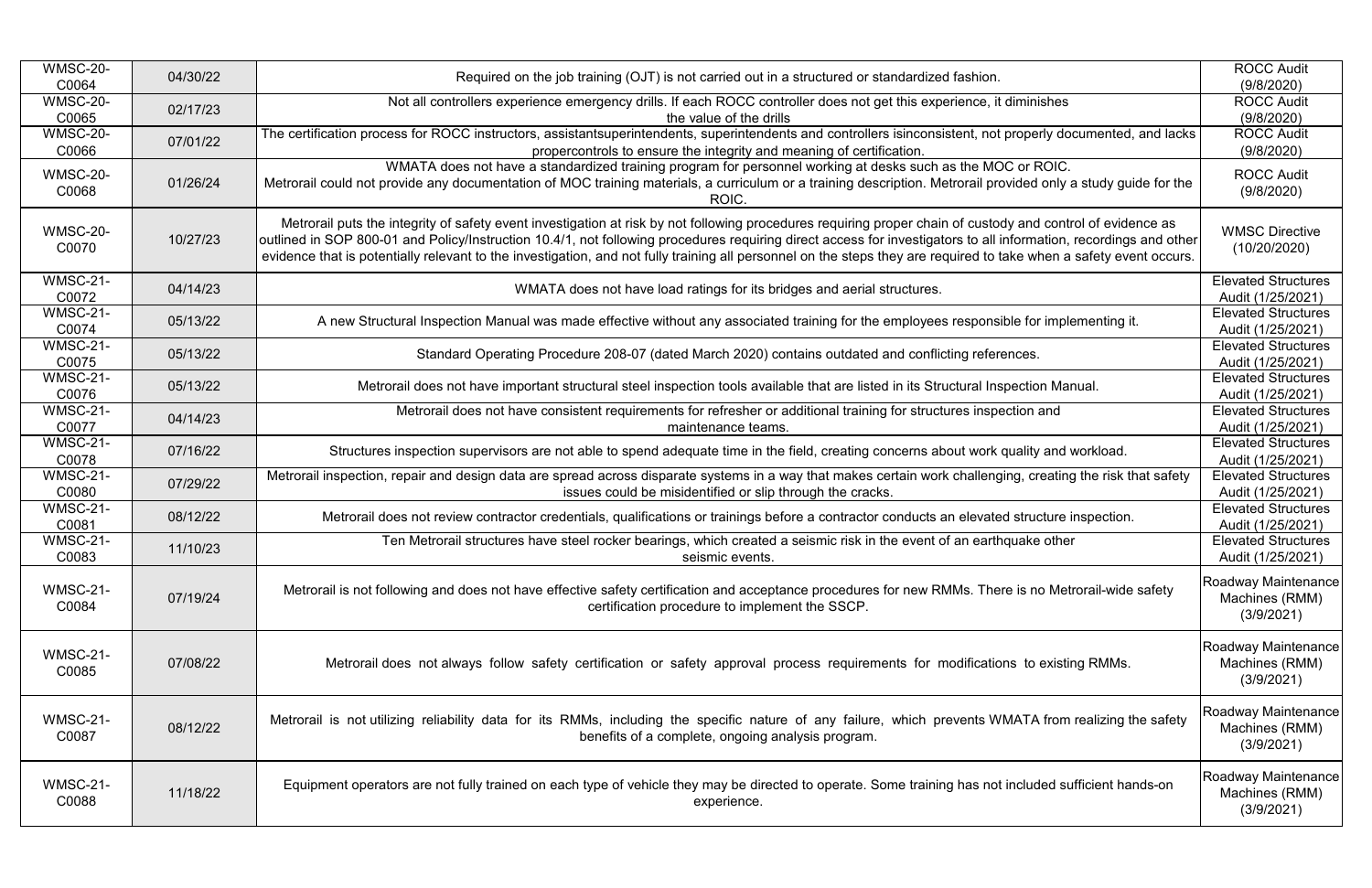| <b>WMSC-20-</b><br>C0064 | 04/30/22 | Required on the job training (OJT) is not carried out in a structured or standardized fashion.                                                                                                                                                                                                                                                                                                                                                                                                          | <b>ROCC Audit</b><br>(9/8/2020)                     |
|--------------------------|----------|---------------------------------------------------------------------------------------------------------------------------------------------------------------------------------------------------------------------------------------------------------------------------------------------------------------------------------------------------------------------------------------------------------------------------------------------------------------------------------------------------------|-----------------------------------------------------|
| <b>WMSC-20-</b><br>C0065 | 02/17/23 | Not all controllers experience emergency drills. If each ROCC controller does not get this experience, it diminishes<br>the value of the drills                                                                                                                                                                                                                                                                                                                                                         | <b>ROCC Audit</b><br>(9/8/2020)                     |
| <b>WMSC-20-</b><br>C0066 | 07/01/22 | The certification process for ROCC instructors, assistantsuperintendents, superintendents and controllers isinconsistent, not properly documented, and lacks<br>propercontrols to ensure the integrity and meaning of certification.                                                                                                                                                                                                                                                                    | <b>ROCC Audit</b><br>(9/8/2020)                     |
| <b>WMSC-20-</b><br>C0068 | 01/26/24 | WMATA does not have a standardized training program for personnel working at desks such as the MOC or ROIC.<br>Metrorail could not provide any documentation of MOC training materials, a curriculum or a training description. Metrorail provided only a study guide for the<br>ROIC.                                                                                                                                                                                                                  | <b>ROCC Audit</b><br>(9/8/2020)                     |
| <b>WMSC-20-</b><br>C0070 | 10/27/23 | Metrorail puts the integrity of safety event investigation at risk by not following procedures requiring proper chain of custody and control of evidence as<br>outlined in SOP 800-01 and Policy/Instruction 10.4/1, not following procedures requiring direct access for investigators to all information, recordings and other<br>evidence that is potentially relevant to the investigation, and not fully training all personnel on the steps they are required to take when a safety event occurs. | <b>WMSC Directive</b><br>(10/20/2020)               |
| <b>WMSC-21-</b><br>C0072 | 04/14/23 | WMATA does not have load ratings for its bridges and aerial structures.                                                                                                                                                                                                                                                                                                                                                                                                                                 | <b>Elevated Structures</b><br>Audit (1/25/2021)     |
| <b>WMSC-21-</b><br>C0074 | 05/13/22 | A new Structural Inspection Manual was made effective without any associated training for the employees responsible for implementing it.                                                                                                                                                                                                                                                                                                                                                                | <b>Elevated Structures</b><br>Audit (1/25/2021)     |
| <b>WMSC-21-</b><br>C0075 | 05/13/22 | Standard Operating Procedure 208-07 (dated March 2020) contains outdated and conflicting references.                                                                                                                                                                                                                                                                                                                                                                                                    | <b>Elevated Structures</b><br>Audit (1/25/2021)     |
| <b>WMSC-21-</b><br>C0076 | 05/13/22 | Metrorail does not have important structural steel inspection tools available that are listed in its Structural Inspection Manual.                                                                                                                                                                                                                                                                                                                                                                      | <b>Elevated Structures</b><br>Audit (1/25/2021)     |
| <b>WMSC-21-</b><br>C0077 | 04/14/23 | Metrorail does not have consistent requirements for refresher or additional training for structures inspection and<br>maintenance teams.                                                                                                                                                                                                                                                                                                                                                                | <b>Elevated Structures</b><br>Audit (1/25/2021)     |
| <b>WMSC-21-</b><br>C0078 | 07/16/22 | Structures inspection supervisors are not able to spend adequate time in the field, creating concerns about work quality and workload.                                                                                                                                                                                                                                                                                                                                                                  | <b>Elevated Structures</b><br>Audit (1/25/2021)     |
| <b>WMSC-21-</b><br>C0080 | 07/29/22 | Metrorail inspection, repair and design data are spread across disparate systems in a way that makes certain work challenging, creating the risk that safety<br>issues could be misidentified or slip through the cracks.                                                                                                                                                                                                                                                                               | <b>Elevated Structures</b><br>Audit (1/25/2021)     |
| <b>WMSC-21-</b><br>C0081 | 08/12/22 | Metrorail does not review contractor credentials, qualifications or trainings before a contractor conducts an elevated structure inspection.                                                                                                                                                                                                                                                                                                                                                            | <b>Elevated Structures</b><br>Audit (1/25/2021)     |
| <b>WMSC-21-</b><br>C0083 | 11/10/23 | Ten Metrorail structures have steel rocker bearings, which created a seismic risk in the event of an earthquake other<br>seismic events.                                                                                                                                                                                                                                                                                                                                                                | <b>Elevated Structures</b><br>Audit (1/25/2021)     |
| <b>WMSC-21-</b><br>C0084 | 07/19/24 | Metrorail is not following and does not have effective safety certification and acceptance procedures for new RMMs. There is no Metrorail-wide safety<br>certification procedure to implement the SSCP.                                                                                                                                                                                                                                                                                                 | Roadway Maintenance<br>Machines (RMM)<br>(3/9/2021) |
| <b>WMSC-21-</b><br>C0085 | 07/08/22 | Metrorail does not always follow safety certification or safety approval process requirements for modifications to existing RMMs.                                                                                                                                                                                                                                                                                                                                                                       | Roadway Maintenance<br>Machines (RMM)<br>(3/9/2021) |
| <b>WMSC-21-</b><br>C0087 | 08/12/22 | Metrorail is not utilizing reliability data for its RMMs, including the specific nature of any failure, which prevents WMATA from realizing the safety<br>benefits of a complete, ongoing analysis program.                                                                                                                                                                                                                                                                                             | Roadway Maintenance<br>Machines (RMM)<br>(3/9/2021) |
| <b>WMSC-21-</b><br>C0088 | 11/18/22 | Equipment operators are not fully trained on each type of vehicle they may be directed to operate. Some training has not included sufficient hands-on<br>experience.                                                                                                                                                                                                                                                                                                                                    | Roadway Maintenance<br>Machines (RMM)<br>(3/9/2021) |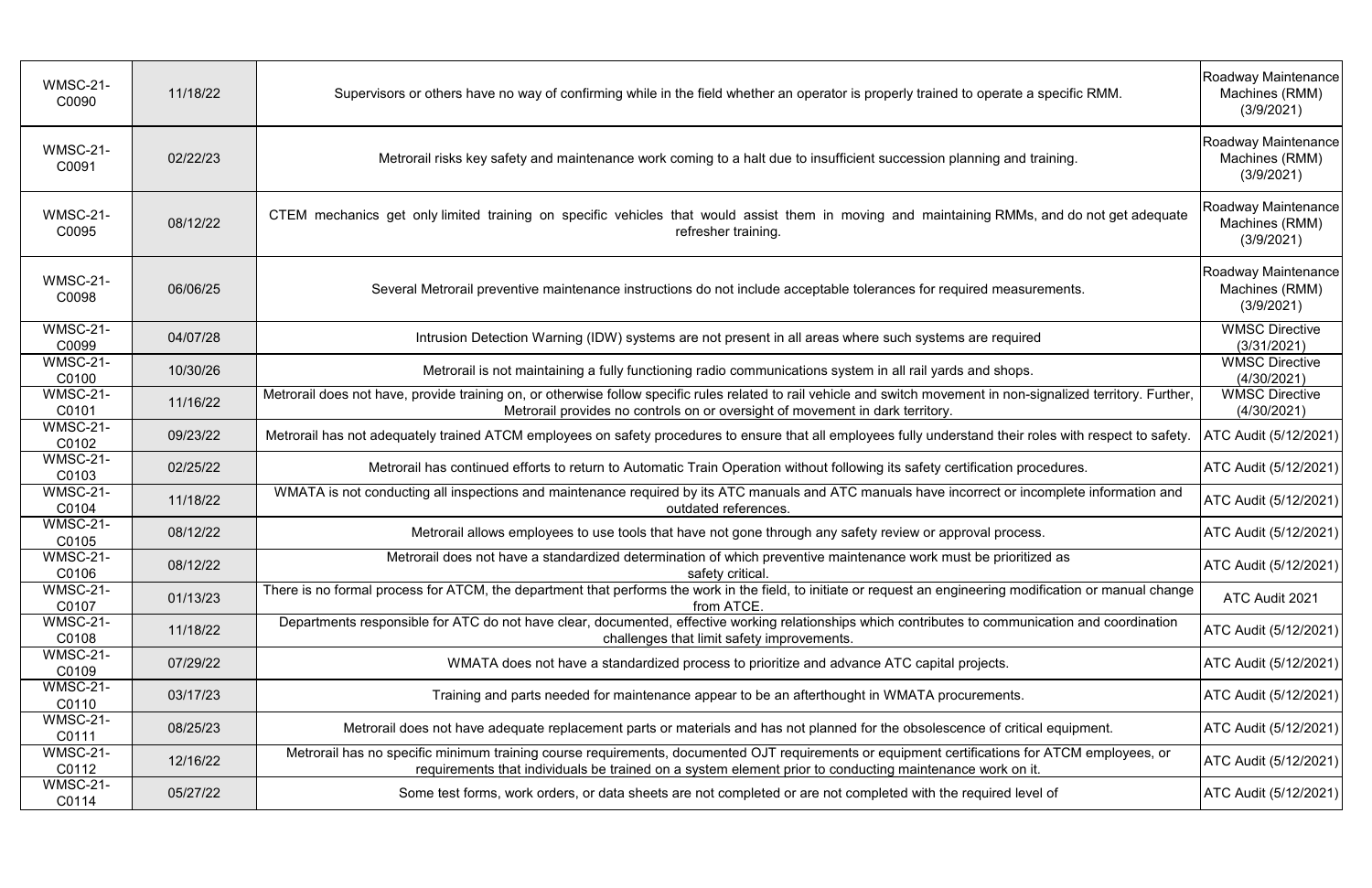| <b>WMSC-21-</b><br>C0090 | 11/18/22 | Supervisors or others have no way of confirming while in the field whether an operator is properly trained to operate a specific RMM.                                                                                                                      | Roadway Maintenance<br>Machines (RMM)<br>(3/9/2021) |
|--------------------------|----------|------------------------------------------------------------------------------------------------------------------------------------------------------------------------------------------------------------------------------------------------------------|-----------------------------------------------------|
| <b>WMSC-21-</b><br>C0091 | 02/22/23 | Metrorail risks key safety and maintenance work coming to a halt due to insufficient succession planning and training.                                                                                                                                     | Roadway Maintenance<br>Machines (RMM)<br>(3/9/2021) |
| <b>WMSC-21-</b><br>C0095 | 08/12/22 | CTEM mechanics get only limited training on specific vehicles that would assist them in moving and maintaining RMMs, and do not get adequate<br>refresher training.                                                                                        | Roadway Maintenance<br>Machines (RMM)<br>(3/9/2021) |
| <b>WMSC-21-</b><br>C0098 | 06/06/25 | Several Metrorail preventive maintenance instructions do not include acceptable tolerances for required measurements.                                                                                                                                      | Roadway Maintenance<br>Machines (RMM)<br>(3/9/2021) |
| <b>WMSC-21-</b><br>C0099 | 04/07/28 | Intrusion Detection Warning (IDW) systems are not present in all areas where such systems are required                                                                                                                                                     | <b>WMSC Directive</b><br>(3/31/2021)                |
| WMSC-21-<br>C0100        | 10/30/26 | Metrorail is not maintaining a fully functioning radio communications system in all rail yards and shops.                                                                                                                                                  | <b>WMSC Directive</b><br>(4/30/2021)                |
| WMSC-21-<br>C0101        | 11/16/22 | Metrorail does not have, provide training on, or otherwise follow specific rules related to rail vehicle and switch movement in non-signalized territory. Further,<br>Metrorail provides no controls on or oversight of movement in dark territory.        | <b>WMSC Directive</b><br>(4/30/2021)                |
| <b>WMSC-21-</b><br>C0102 | 09/23/22 | Metrorail has not adequately trained ATCM employees on safety procedures to ensure that all employees fully understand their roles with respect to safety.                                                                                                 | ATC Audit (5/12/2021)                               |
| WMSC-21-<br>C0103        | 02/25/22 | Metrorail has continued efforts to return to Automatic Train Operation without following its safety certification procedures.                                                                                                                              | ATC Audit (5/12/2021)                               |
| <b>WMSC-21-</b><br>C0104 | 11/18/22 | WMATA is not conducting all inspections and maintenance required by its ATC manuals and ATC manuals have incorrect or incomplete information and<br>outdated references.                                                                                   | ATC Audit (5/12/2021)                               |
| WMSC-21-<br>C0105        | 08/12/22 | Metrorail allows employees to use tools that have not gone through any safety review or approval process.                                                                                                                                                  | ATC Audit (5/12/2021)                               |
| WMSC-21-<br>C0106        | 08/12/22 | Metrorail does not have a standardized determination of which preventive maintenance work must be prioritized as<br>safety critical.                                                                                                                       | ATC Audit (5/12/2021)                               |
| <b>WMSC-21-</b><br>C0107 | 01/13/23 | There is no formal process for ATCM, the department that performs the work in the field, to initiate or request an engineering modification or manual change<br>from ATCE.                                                                                 | ATC Audit 2021                                      |
| <b>WMSC-21-</b><br>C0108 | 11/18/22 | Departments responsible for ATC do not have clear, documented, effective working relationships which contributes to communication and coordination<br>challenges that limit safety improvements.                                                           | ATC Audit (5/12/2021)                               |
| WMSC-21-<br>C0109        | 07/29/22 | WMATA does not have a standardized process to prioritize and advance ATC capital projects.                                                                                                                                                                 | ATC Audit (5/12/2021)                               |
| <b>WMSC-21-</b><br>C0110 | 03/17/23 | Training and parts needed for maintenance appear to be an afterthought in WMATA procurements.                                                                                                                                                              | ATC Audit (5/12/2021)                               |
| <b>WMSC-21-</b><br>C0111 | 08/25/23 | Metrorail does not have adequate replacement parts or materials and has not planned for the obsolescence of critical equipment.                                                                                                                            | ATC Audit (5/12/2021)                               |
| <b>WMSC-21-</b><br>C0112 | 12/16/22 | Metrorail has no specific minimum training course requirements, documented OJT requirements or equipment certifications for ATCM employees, or<br>requirements that individuals be trained on a system element prior to conducting maintenance work on it. | ATC Audit (5/12/2021)                               |
| <b>WMSC-21-</b><br>C0114 | 05/27/22 | Some test forms, work orders, or data sheets are not completed or are not completed with the required level of                                                                                                                                             | ATC Audit (5/12/2021)                               |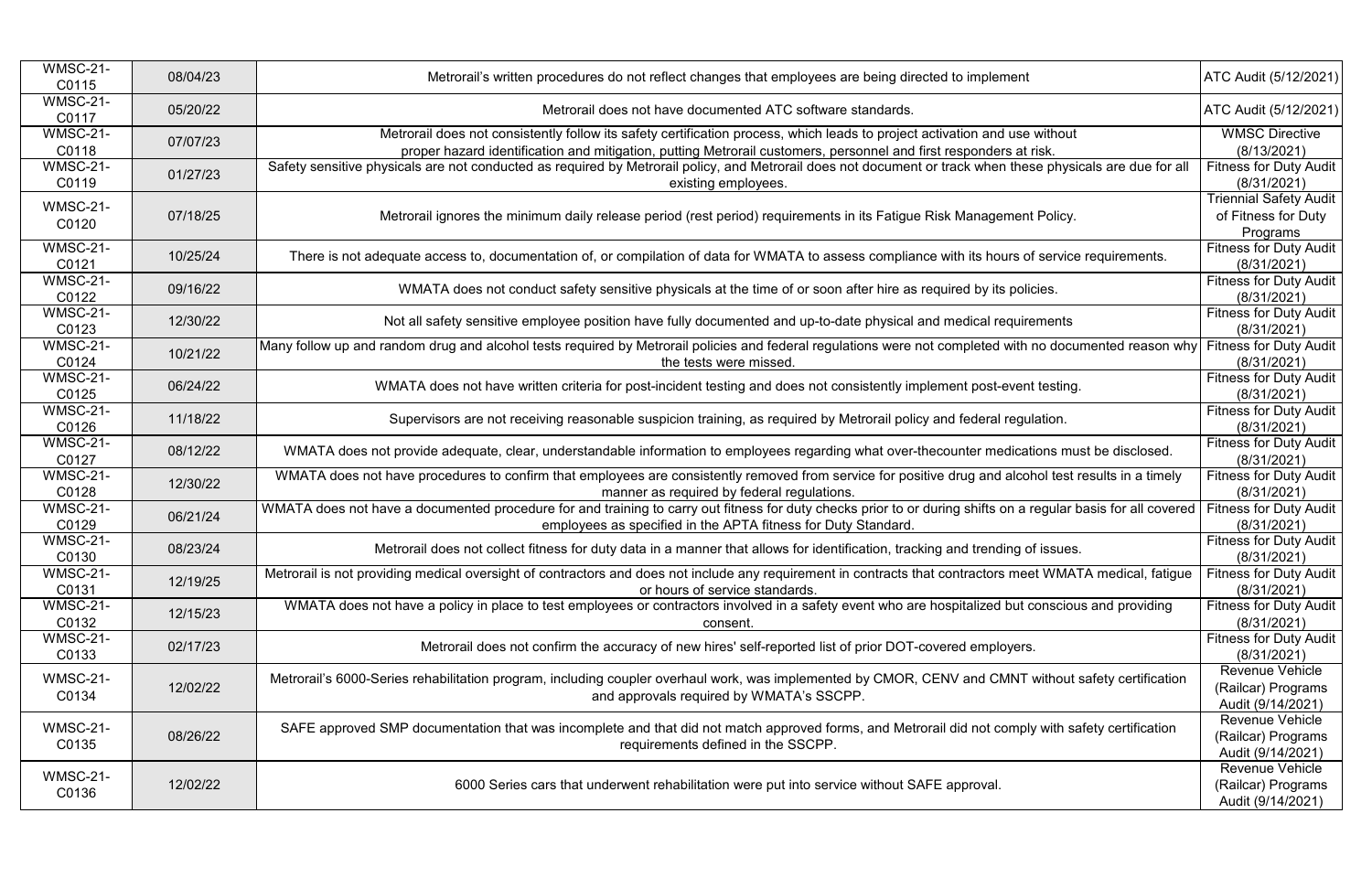| <b>WMSC-21-</b><br>C0115 | 08/04/23 | Metrorail's written procedures do not reflect changes that employees are being directed to implement                                                                                                                                            | ATC Audit (5/12/2021)                                             |
|--------------------------|----------|-------------------------------------------------------------------------------------------------------------------------------------------------------------------------------------------------------------------------------------------------|-------------------------------------------------------------------|
| <b>WMSC-21-</b><br>C0117 | 05/20/22 | Metrorail does not have documented ATC software standards.                                                                                                                                                                                      | ATC Audit (5/12/2021)                                             |
| <b>WMSC-21-</b><br>C0118 | 07/07/23 | Metrorail does not consistently follow its safety certification process, which leads to project activation and use without<br>proper hazard identification and mitigation, putting Metrorail customers, personnel and first responders at risk. | <b>WMSC Directive</b><br>(8/13/2021)                              |
| <b>WMSC-21-</b><br>C0119 | 01/27/23 | Safety sensitive physicals are not conducted as required by Metrorail policy, and Metrorail does not document or track when these physicals are due for all<br>existing employees.                                                              | <b>Fitness for Duty Audit</b><br>(8/31/2021)                      |
| <b>WMSC-21-</b><br>C0120 | 07/18/25 | Metrorail ignores the minimum daily release period (rest period) requirements in its Fatigue Risk Management Policy.                                                                                                                            | <b>Triennial Safety Audit</b><br>of Fitness for Duty<br>Programs  |
| <b>WMSC-21-</b><br>C0121 | 10/25/24 | There is not adequate access to, documentation of, or compilation of data for WMATA to assess compliance with its hours of service requirements.                                                                                                | <b>Fitness for Duty Audit</b><br>(8/31/2021)                      |
| <b>WMSC-21-</b><br>C0122 | 09/16/22 | WMATA does not conduct safety sensitive physicals at the time of or soon after hire as required by its policies.                                                                                                                                | <b>Fitness for Duty Audit</b><br>(8/31/2021)                      |
| <b>WMSC-21-</b><br>C0123 | 12/30/22 | Not all safety sensitive employee position have fully documented and up-to-date physical and medical requirements                                                                                                                               | <b>Fitness for Duty Audit</b><br>(8/31/2021)                      |
| <b>WMSC-21-</b><br>C0124 | 10/21/22 | Many follow up and random drug and alcohol tests required by Metrorail policies and federal regulations were not completed with no documented reason why  Fitness for Duty Audit  <br>the tests were missed.                                    | (8/31/2021)                                                       |
| <b>WMSC-21-</b><br>C0125 | 06/24/22 | WMATA does not have written criteria for post-incident testing and does not consistently implement post-event testing.                                                                                                                          | <b>Fitness for Duty Audit</b><br>(8/31/2021)                      |
| <b>WMSC-21-</b><br>C0126 | 11/18/22 | Supervisors are not receiving reasonable suspicion training, as required by Metrorail policy and federal regulation.                                                                                                                            | <b>Fitness for Duty Audit</b><br>(8/31/2021)                      |
| <b>WMSC-21-</b><br>C0127 | 08/12/22 | WMATA does not provide adequate, clear, understandable information to employees regarding what over-thecounter medications must be disclosed.                                                                                                   | <b>Fitness for Duty Audit</b><br>(8/31/2021)                      |
| <b>WMSC-21-</b><br>C0128 | 12/30/22 | WMATA does not have procedures to confirm that employees are consistently removed from service for positive drug and alcohol test results in a timely<br>manner as required by federal regulations.                                             | <b>Fitness for Duty Audit</b><br>(8/31/2021)                      |
| <b>WMSC-21-</b><br>C0129 | 06/21/24 | WMATA does not have a documented procedure for and training to carry out fitness for duty checks prior to or during shifts on a regular basis for all covered<br>employees as specified in the APTA fitness for Duty Standard.                  | <b>Fitness for Duty Audit</b><br>(8/31/2021)                      |
| <b>WMSC-21-</b><br>C0130 | 08/23/24 | Metrorail does not collect fitness for duty data in a manner that allows for identification, tracking and trending of issues.                                                                                                                   | <b>Fitness for Duty Audit</b><br>(8/31/2021)                      |
| <b>WMSC-21-</b><br>C0131 | 12/19/25 | Metrorail is not providing medical oversight of contractors and does not include any requirement in contracts that contractors meet WMATA medical, fatigue<br>or hours of service standards.                                                    | <b>Fitness for Duty Audit</b><br>(8/31/2021)                      |
| <b>WMSC-21-</b><br>C0132 | 12/15/23 | WMATA does not have a policy in place to test employees or contractors involved in a safety event who are hospitalized but conscious and providing<br>consent.                                                                                  | <b>Fitness for Duty Audit</b><br>(8/31/2021)                      |
| <b>WMSC-21-</b><br>C0133 | 02/17/23 | Metrorail does not confirm the accuracy of new hires' self-reported list of prior DOT-covered employers.                                                                                                                                        | <b>Fitness for Duty Audit</b><br>(8/31/2021)                      |
| <b>WMSC-21-</b><br>C0134 | 12/02/22 | Metrorail's 6000-Series rehabilitation program, including coupler overhaul work, was implemented by CMOR, CENV and CMNT without safety certification<br>and approvals required by WMATA's SSCPP.                                                | <b>Revenue Vehicle</b><br>(Railcar) Programs<br>Audit (9/14/2021) |
| <b>WMSC-21-</b><br>C0135 | 08/26/22 | SAFE approved SMP documentation that was incomplete and that did not match approved forms, and Metrorail did not comply with safety certification<br>requirements defined in the SSCPP.                                                         | <b>Revenue Vehicle</b><br>(Railcar) Programs<br>Audit (9/14/2021) |
| <b>WMSC-21-</b><br>C0136 | 12/02/22 | 6000 Series cars that underwent rehabilitation were put into service without SAFE approval.                                                                                                                                                     | <b>Revenue Vehicle</b><br>(Railcar) Programs<br>Audit (9/14/2021) |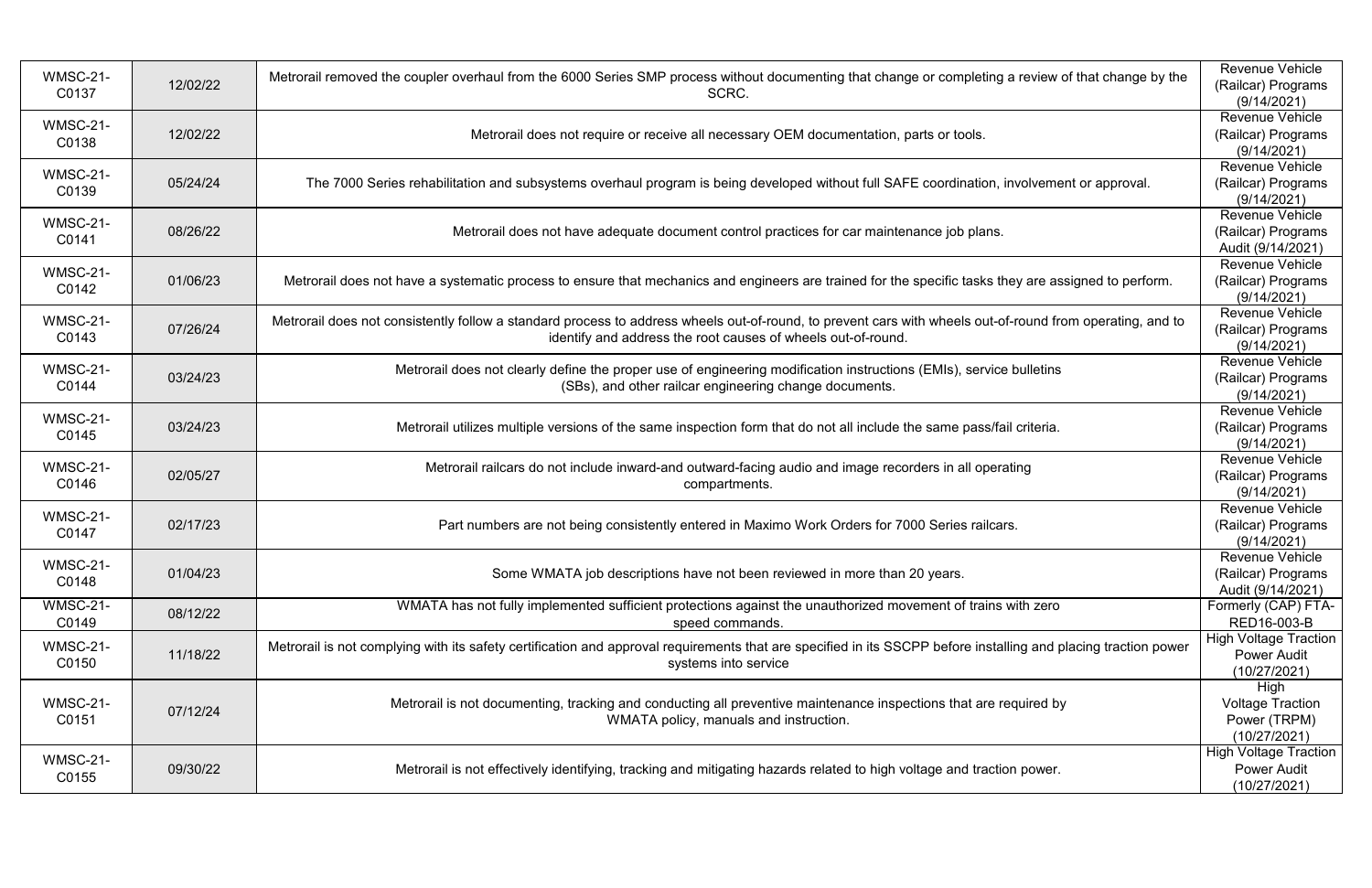| <b>WMSC-21-</b><br>C0137 | 12/02/22 | Metrorail removed the coupler overhaul from the 6000 Series SMP process without documenting that change or completing a review of that change by the<br>SCRC.                                                             | <b>Revenue Vehicle</b><br>(Railcar) Programs<br>(9/14/2021)        |
|--------------------------|----------|---------------------------------------------------------------------------------------------------------------------------------------------------------------------------------------------------------------------------|--------------------------------------------------------------------|
| <b>WMSC-21-</b><br>C0138 | 12/02/22 | Metrorail does not require or receive all necessary OEM documentation, parts or tools.                                                                                                                                    | <b>Revenue Vehicle</b><br>(Railcar) Programs<br>(9/14/2021)        |
| <b>WMSC-21-</b><br>C0139 | 05/24/24 | The 7000 Series rehabilitation and subsystems overhaul program is being developed without full SAFE coordination, involvement or approval.                                                                                | <b>Revenue Vehicle</b><br>(Railcar) Programs<br>(9/14/2021)        |
| <b>WMSC-21-</b><br>C0141 | 08/26/22 | Metrorail does not have adequate document control practices for car maintenance job plans.                                                                                                                                | <b>Revenue Vehicle</b><br>(Railcar) Programs<br>Audit (9/14/2021)  |
| <b>WMSC-21-</b><br>C0142 | 01/06/23 | Metrorail does not have a systematic process to ensure that mechanics and engineers are trained for the specific tasks they are assigned to perform.                                                                      | <b>Revenue Vehicle</b><br>(Railcar) Programs<br>(9/14/2021)        |
| <b>WMSC-21-</b><br>C0143 | 07/26/24 | Metrorail does not consistently follow a standard process to address wheels out-of-round, to prevent cars with wheels out-of-round from operating, and to<br>identify and address the root causes of wheels out-of-round. | Revenue Vehicle<br>(Railcar) Programs<br>(9/14/2021)               |
| <b>WMSC-21-</b><br>C0144 | 03/24/23 | Metrorail does not clearly define the proper use of engineering modification instructions (EMIs), service bulletins<br>(SBs), and other railcar engineering change documents.                                             | <b>Revenue Vehicle</b><br>(Railcar) Programs<br>(9/14/2021)        |
| <b>WMSC-21-</b><br>C0145 | 03/24/23 | Metrorail utilizes multiple versions of the same inspection form that do not all include the same pass/fail criteria.                                                                                                     | <b>Revenue Vehicle</b><br>(Railcar) Programs<br>(9/14/2021)        |
| <b>WMSC-21-</b><br>C0146 | 02/05/27 | Metrorail railcars do not include inward-and outward-facing audio and image recorders in all operating<br>compartments.                                                                                                   | <b>Revenue Vehicle</b><br>(Railcar) Programs<br>(9/14/2021)        |
| <b>WMSC-21-</b><br>C0147 | 02/17/23 | Part numbers are not being consistently entered in Maximo Work Orders for 7000 Series railcars.                                                                                                                           | <b>Revenue Vehicle</b><br>(Railcar) Programs<br>(9/14/2021)        |
| <b>WMSC-21-</b><br>C0148 | 01/04/23 | Some WMATA job descriptions have not been reviewed in more than 20 years.                                                                                                                                                 | <b>Revenue Vehicle</b><br>(Railcar) Programs<br>Audit (9/14/2021)  |
| <b>WMSC-21-</b><br>C0149 | 08/12/22 | WMATA has not fully implemented sufficient protections against the unauthorized movement of trains with zero<br>speed commands.                                                                                           | Formerly (CAP) FTA-<br>RED16-003-B                                 |
| <b>WMSC-21-</b><br>C0150 | 11/18/22 | Metrorail is not complying with its safety certification and approval requirements that are specified in its SSCPP before installing and placing traction power<br>systems into service                                   | <b>High Voltage Traction</b><br><b>Power Audit</b><br>(10/27/2021) |
| <b>WMSC-21-</b><br>C0151 | 07/12/24 | Metrorail is not documenting, tracking and conducting all preventive maintenance inspections that are required by<br>WMATA policy, manuals and instruction.                                                               | High<br><b>Voltage Traction</b><br>Power (TRPM)<br>(10/27/2021)    |
| <b>WMSC-21-</b><br>C0155 | 09/30/22 | Metrorail is not effectively identifying, tracking and mitigating hazards related to high voltage and traction power.                                                                                                     | <b>High Voltage Traction</b><br><b>Power Audit</b><br>(10/27/2021) |